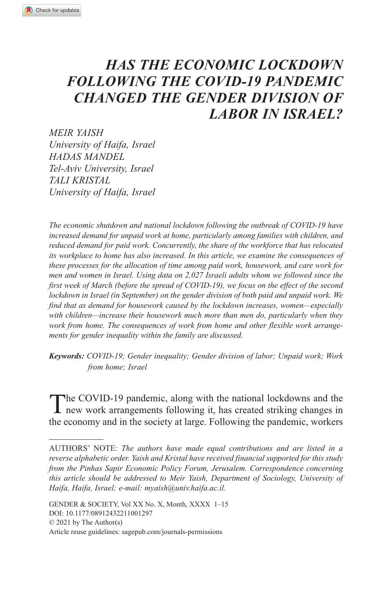# *HAS THE ECONOMIC LOCKDOWN FOLLOWING THE COVID-19 PANDEMIC CHANGED THE GENDER DIVISION OF LABOR IN ISRAEL?*

*MEIR YAISH University of Haifa, Israel HADAS MANDEL Tel-Aviv University, Israel TALI KRISTAL University of Haifa, Israel*

*The economic shutdown and national lockdown following the outbreak of COVID-19 have increased demand for unpaid work at home, particularly among families with children, and reduced demand for paid work. Concurrently, the share of the workforce that has relocated its workplace to home has also increased. In this article, we examine the consequences of these processes for the allocation of time among paid work, housework, and care work for men and women in Israel. Using data on 2,027 Israeli adults whom we followed since the first week of March (before the spread of COVID-19), we focus on the effect of the second lockdown in Israel (in September) on the gender division of both paid and unpaid work. We find that as demand for housework caused by the lockdown increases, women—especially with children—increase their housework much more than men do, particularly when they work from home. The consequences of work from home and other flexible work arrangements for gender inequality within the family are discussed.*

*Keywords: COVID-19; Gender inequality; Gender division of labor; Unpaid work; Work from home; Israel*

The COVID-19 pandemic, along with the national lockdowns and the new work arrangements following it, has created striking changes in the economy and in the society at large. Following the pandemic, workers

Authors' Note: *The authors have made equal contributions and are listed in a reverse alphabetic order. Yaish and Kristal have received financial supported for this study from the Pinhas Sapir Economic Policy Forum, Jerusalem. Correspondence concerning this article should be addressed to Meir Yaish, Department of Sociology, University of Haifa, Haifa, Israel; e-mail: [myaish@univ.haifa.ac.il.](mailto:myaish@univ.haifa.ac.il)*

DOI: 10.1177/08912432211001297 GENDER & SOCIETY, Vol XX No. X, Month, XXXX 1–15 © 2021 by The Author(s) Article reuse guidelines: sagepub.com/journals-permissions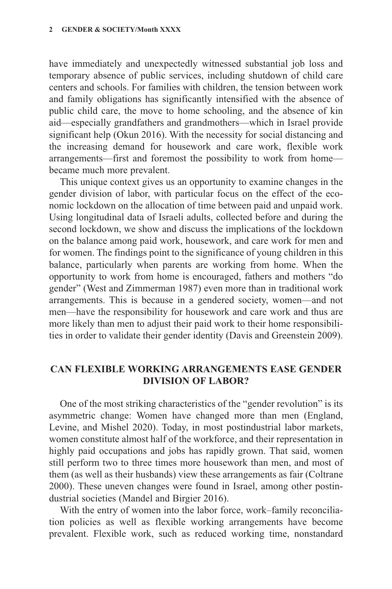have immediately and unexpectedly witnessed substantial job loss and temporary absence of public services, including shutdown of child care centers and schools. For families with children, the tension between work and family obligations has significantly intensified with the absence of public child care, the move to home schooling, and the absence of kin aid—especially grandfathers and grandmothers—which in Israel provide significant help (Okun 2016). With the necessity for social distancing and the increasing demand for housework and care work, flexible work arrangements—first and foremost the possibility to work from home became much more prevalent.

This unique context gives us an opportunity to examine changes in the gender division of labor, with particular focus on the effect of the economic lockdown on the allocation of time between paid and unpaid work. Using longitudinal data of Israeli adults, collected before and during the second lockdown, we show and discuss the implications of the lockdown on the balance among paid work, housework, and care work for men and for women. The findings point to the significance of young children in this balance, particularly when parents are working from home. When the opportunity to work from home is encouraged, fathers and mothers "do gender" (West and Zimmerman 1987) even more than in traditional work arrangements. This is because in a gendered society, women—and not men—have the responsibility for housework and care work and thus are more likely than men to adjust their paid work to their home responsibilities in order to validate their gender identity (Davis and Greenstein 2009).

# **Can Flexible Working Arrangements Ease Gender Division of Labor?**

One of the most striking characteristics of the "gender revolution" is its asymmetric change: Women have changed more than men (England, Levine, and Mishel 2020). Today, in most postindustrial labor markets, women constitute almost half of the workforce, and their representation in highly paid occupations and jobs has rapidly grown. That said, women still perform two to three times more housework than men, and most of them (as well as their husbands) view these arrangements as fair (Coltrane 2000). These uneven changes were found in Israel, among other postindustrial societies (Mandel and Birgier 2016).

With the entry of women into the labor force, work–family reconciliation policies as well as flexible working arrangements have become prevalent. Flexible work, such as reduced working time, nonstandard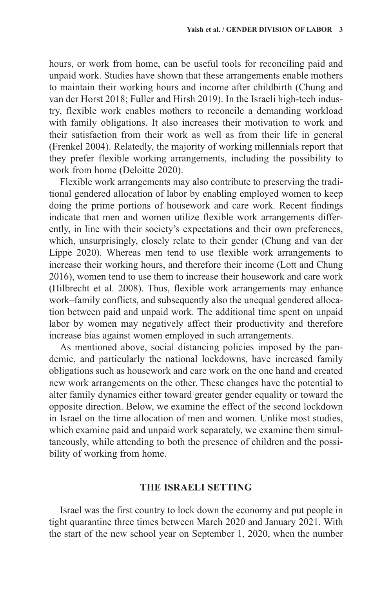hours, or work from home, can be useful tools for reconciling paid and unpaid work. Studies have shown that these arrangements enable mothers to maintain their working hours and income after childbirth (Chung and van der Horst 2018; Fuller and Hirsh 2019). In the Israeli high-tech industry, flexible work enables mothers to reconcile a demanding workload with family obligations. It also increases their motivation to work and their satisfaction from their work as well as from their life in general (Frenkel 2004). Relatedly, the majority of working millennials report that they prefer flexible working arrangements, including the possibility to work from home (Deloitte 2020).

Flexible work arrangements may also contribute to preserving the traditional gendered allocation of labor by enabling employed women to keep doing the prime portions of housework and care work. Recent findings indicate that men and women utilize flexible work arrangements differently, in line with their society's expectations and their own preferences, which, unsurprisingly, closely relate to their gender (Chung and van der Lippe 2020). Whereas men tend to use flexible work arrangements to increase their working hours, and therefore their income (Lott and Chung 2016), women tend to use them to increase their housework and care work (Hilbrecht et al. 2008). Thus, flexible work arrangements may enhance work–family conflicts, and subsequently also the unequal gendered allocation between paid and unpaid work. The additional time spent on unpaid labor by women may negatively affect their productivity and therefore increase bias against women employed in such arrangements.

As mentioned above, social distancing policies imposed by the pandemic, and particularly the national lockdowns, have increased family obligations such as housework and care work on the one hand and created new work arrangements on the other. These changes have the potential to alter family dynamics either toward greater gender equality or toward the opposite direction. Below, we examine the effect of the second lockdown in Israel on the time allocation of men and women. Unlike most studies, which examine paid and unpaid work separately, we examine them simultaneously, while attending to both the presence of children and the possibility of working from home.

# **The Israeli Setting**

Israel was the first country to lock down the economy and put people in tight quarantine three times between March 2020 and January 2021. With the start of the new school year on September 1, 2020, when the number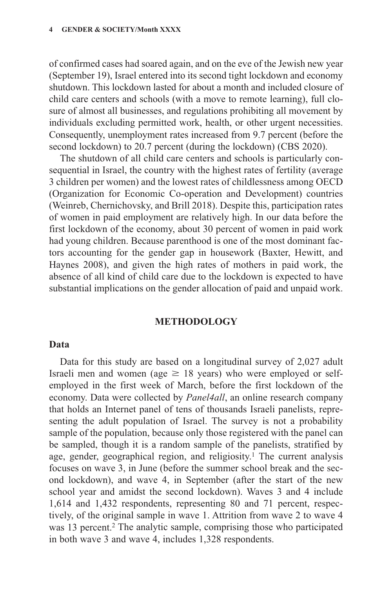of confirmed cases had soared again, and on the eve of the Jewish new year (September 19), Israel entered into its second tight lockdown and economy shutdown. This lockdown lasted for about a month and included closure of child care centers and schools (with a move to remote learning), full closure of almost all businesses, and regulations prohibiting all movement by individuals excluding permitted work, health, or other urgent necessities. Consequently, unemployment rates increased from 9.7 percent (before the second lockdown) to 20.7 percent (during the lockdown) (CBS 2020).

The shutdown of all child care centers and schools is particularly consequential in Israel, the country with the highest rates of fertility (average 3 children per women) and the lowest rates of childlessness among OECD (Organization for Economic Co-operation and Development) countries (Weinreb, Chernichovsky, and Brill 2018). Despite this, participation rates of women in paid employment are relatively high. In our data before the first lockdown of the economy, about 30 percent of women in paid work had young children. Because parenthood is one of the most dominant factors accounting for the gender gap in housework (Baxter, Hewitt, and Haynes 2008), and given the high rates of mothers in paid work, the absence of all kind of child care due to the lockdown is expected to have substantial implications on the gender allocation of paid and unpaid work.

#### **Methodology**

#### **Data**

Data for this study are based on a longitudinal survey of 2,027 adult Israeli men and women (age  $\geq$  18 years) who were employed or selfemployed in the first week of March, before the first lockdown of the economy. Data were collected by *Panel4all*, an online research company that holds an Internet panel of tens of thousands Israeli panelists, representing the adult population of Israel. The survey is not a probability sample of the population, because only those registered with the panel can be sampled, though it is a random sample of the panelists, stratified by age, gender, geographical region, and religiosity.<sup>1</sup> The current analysis focuses on wave 3, in June (before the summer school break and the second lockdown), and wave 4, in September (after the start of the new school year and amidst the second lockdown). Waves 3 and 4 include 1,614 and 1,432 respondents, representing 80 and 71 percent, respectively, of the original sample in wave 1. Attrition from wave 2 to wave 4 was 13 percent.<sup>2</sup> The analytic sample, comprising those who participated in both wave 3 and wave 4, includes 1,328 respondents.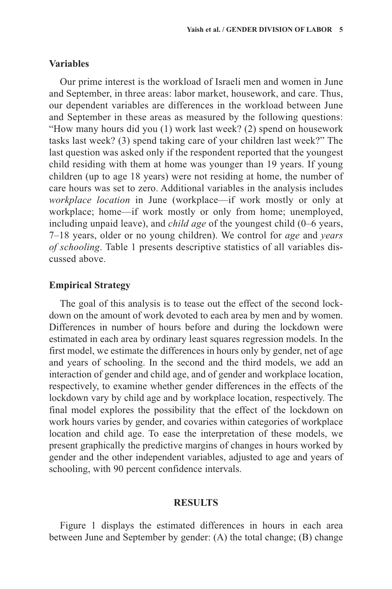# **Variables**

Our prime interest is the workload of Israeli men and women in June and September, in three areas: labor market, housework, and care. Thus, our dependent variables are differences in the workload between June and September in these areas as measured by the following questions: "How many hours did you (1) work last week? (2) spend on housework tasks last week? (3) spend taking care of your children last week?" The last question was asked only if the respondent reported that the youngest child residing with them at home was younger than 19 years. If young children (up to age 18 years) were not residing at home, the number of care hours was set to zero. Additional variables in the analysis includes *workplace location* in June (workplace—if work mostly or only at workplace; home—if work mostly or only from home; unemployed, including unpaid leave), and *child age* of the youngest child (0–6 years, 7–18 years, older or no young children). We control for *age* and *years of schooling*. Table 1 presents descriptive statistics of all variables discussed above.

## **Empirical Strategy**

The goal of this analysis is to tease out the effect of the second lockdown on the amount of work devoted to each area by men and by women. Differences in number of hours before and during the lockdown were estimated in each area by ordinary least squares regression models. In the first model, we estimate the differences in hours only by gender, net of age and years of schooling. In the second and the third models, we add an interaction of gender and child age, and of gender and workplace location, respectively, to examine whether gender differences in the effects of the lockdown vary by child age and by workplace location, respectively. The final model explores the possibility that the effect of the lockdown on work hours varies by gender, and covaries within categories of workplace location and child age. To ease the interpretation of these models, we present graphically the predictive margins of changes in hours worked by gender and the other independent variables, adjusted to age and years of schooling, with 90 percent confidence intervals.

#### **Results**

Figure 1 displays the estimated differences in hours in each area between June and September by gender: (A) the total change; (B) change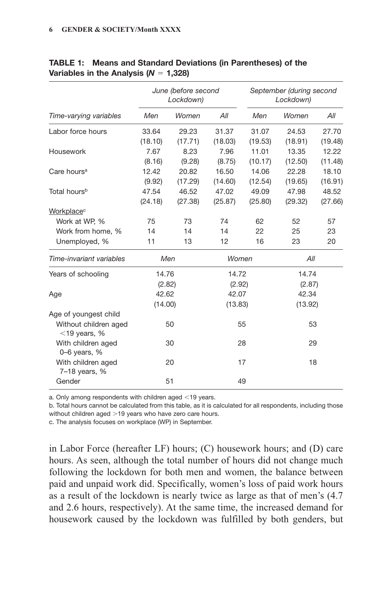| Time-varying variables                   | June (before second<br>Lockdown) |         |         | September (during second<br>Lockdown) |         |         |
|------------------------------------------|----------------------------------|---------|---------|---------------------------------------|---------|---------|
|                                          | Men                              | Women   | All     | Men                                   | Women   | All     |
| Labor force hours                        | 33.64                            | 29.23   | 31.37   | 31.07                                 | 24.53   | 27.70   |
|                                          | (18.10)                          | (17.71) | (18.03) | (19.53)                               | (18.91) | (19.48) |
| Housework                                | 7.67                             | 8.23    | 7.96    | 11.01                                 | 13.35   | 12.22   |
|                                          | (8.16)                           | (9.28)  | (8.75)  | (10.17)                               | (12.50) | (11.48) |
| Care hours <sup>a</sup>                  | 12.42                            | 20.82   | 16.50   | 14.06                                 | 22.28   | 18.10   |
|                                          | (9.92)                           | (17.29) | (14.60) | (12.54)                               | (19.65) | (16.91) |
| Total hours <sup>b</sup>                 | 47.54                            | 46.52   | 47.02   | 49.09                                 | 47.98   | 48.52   |
|                                          | (24.18)                          | (27.38) | (25.87) | (25.80)                               | (29.32) | (27.66) |
| Workplace <sup>c</sup>                   |                                  |         |         |                                       |         |         |
| Work at WP, %                            | 75                               | 73      | 74      | 62                                    | 52      | 57      |
| Work from home, %                        | 14                               | 14      | 14      | 22                                    | 25      | 23      |
| Unemployed, %                            | 11                               | 13      | 12      | 16                                    | 23      | 20      |
| Time-invariant variables                 | Men                              |         | Women   |                                       | All     |         |
| Years of schooling                       | 14.76                            |         | 14.72   |                                       | 14.74   |         |
|                                          | (2.82)                           |         | (2.92)  |                                       | (2.87)  |         |
| Age                                      | 42.62                            |         | 42.07   |                                       | 42.34   |         |
|                                          | (14.00)                          |         | (13.83) |                                       | (13.92) |         |
| Age of youngest child                    |                                  |         |         |                                       |         |         |
| Without children aged<br>$<$ 19 years, % | 50                               |         | 55      |                                       | 53      |         |
| With children aged<br>$0-6$ years, %     | 30                               |         | 28      |                                       | 29      |         |
| With children aged<br>7-18 years, %      | 20                               |         | 17      |                                       | 18      |         |
| Gender                                   | 51                               |         | 49      |                                       |         |         |

#### Table 1: Means and Standard Deviations (in Parentheses) of the Variables in the Analysis (*N* = 1,328)

a. Only among respondents with children aged <19 years.

b. Total hours cannot be calculated from this table, as it is calculated for all respondents, including those without children aged >19 years who have zero care hours.

c. The analysis focuses on workplace (WP) in September.

in Labor Force (hereafter LF) hours; (C) housework hours; and (D) care hours. As seen, although the total number of hours did not change much following the lockdown for both men and women, the balance between paid and unpaid work did. Specifically, women's loss of paid work hours as a result of the lockdown is nearly twice as large as that of men's (4.7 and 2.6 hours, respectively). At the same time, the increased demand for housework caused by the lockdown was fulfilled by both genders, but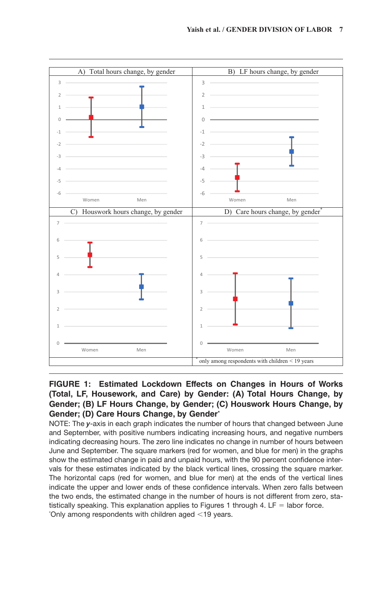

### **Figure 1: Estimated Lockdown Effects on Changes in Hours of Works (Total, LF, Housework, and Care) by Gender: (A) Total Hours Change, by Gender; (B) LF Hours Change, by Gender; (C) Houswork Hours Change, by Gender; (D) Care Hours Change, by Gender\***

NOTE: The *y*-axis in each graph indicates the number of hours that changed between June and September, with positive numbers indicating increasing hours, and negative numbers indicating decreasing hours. The zero line indicates no change in number of hours between June and September. The square markers (red for women, and blue for men) in the graphs show the estimated change in paid and unpaid hours, with the 90 percent confidence intervals for these estimates indicated by the black vertical lines, crossing the square marker. The horizontal caps (red for women, and blue for men) at the ends of the vertical lines indicate the upper and lower ends of these confidence intervals. When zero falls between the two ends, the estimated change in the number of hours is not different from zero, statistically speaking. This explanation applies to Figures 1 through 4.  $LF =$  labor force. \* Only among respondents with children aged <19 years.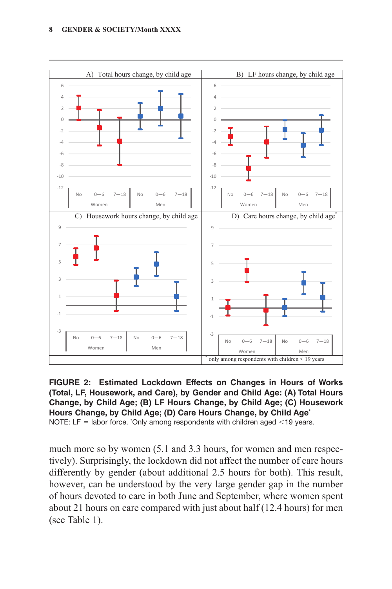

**Figure 2: Estimated Lockdown Effects on Changes in Hours of Works (Total, LF, Housework, and Care), by Gender and Child Age: (A) Total Hours Change, by Child Age; (B) LF Hours Change, by Child Age; (C) Housework Hours Change, by Child Age; (D) Care Hours Change, by Child Age\*** NOTE: LF  $=$  labor force. 'Only among respondents with children aged  $\leq$ 19 years.

much more so by women (5.1 and 3.3 hours, for women and men respectively). Surprisingly, the lockdown did not affect the number of care hours differently by gender (about additional 2.5 hours for both). This result, however, can be understood by the very large gender gap in the number of hours devoted to care in both June and September, where women spent about 21 hours on care compared with just about half (12.4 hours) for men (see Table 1).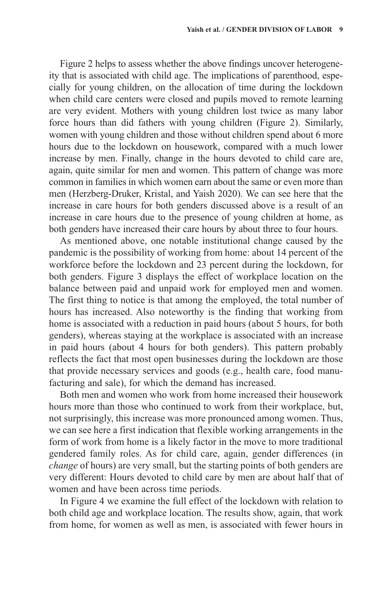Figure 2 helps to assess whether the above findings uncover heterogeneity that is associated with child age. The implications of parenthood, especially for young children, on the allocation of time during the lockdown when child care centers were closed and pupils moved to remote learning are very evident. Mothers with young children lost twice as many labor force hours than did fathers with young children (Figure 2). Similarly, women with young children and those without children spend about 6 more hours due to the lockdown on housework, compared with a much lower increase by men. Finally, change in the hours devoted to child care are, again, quite similar for men and women. This pattern of change was more common in families in which women earn about the same or even more than men (Herzberg-Druker, Kristal, and Yaish 2020). We can see here that the increase in care hours for both genders discussed above is a result of an increase in care hours due to the presence of young children at home, as both genders have increased their care hours by about three to four hours.

As mentioned above, one notable institutional change caused by the pandemic is the possibility of working from home: about 14 percent of the workforce before the lockdown and 23 percent during the lockdown, for both genders. Figure 3 displays the effect of workplace location on the balance between paid and unpaid work for employed men and women. The first thing to notice is that among the employed, the total number of hours has increased. Also noteworthy is the finding that working from home is associated with a reduction in paid hours (about 5 hours, for both genders), whereas staying at the workplace is associated with an increase in paid hours (about 4 hours for both genders). This pattern probably reflects the fact that most open businesses during the lockdown are those that provide necessary services and goods (e.g., health care, food manufacturing and sale), for which the demand has increased.

Both men and women who work from home increased their housework hours more than those who continued to work from their workplace, but, not surprisingly, this increase was more pronounced among women. Thus, we can see here a first indication that flexible working arrangements in the form of work from home is a likely factor in the move to more traditional gendered family roles. As for child care, again, gender differences (in *change* of hours) are very small, but the starting points of both genders are very different: Hours devoted to child care by men are about half that of women and have been across time periods.

In Figure 4 we examine the full effect of the lockdown with relation to both child age and workplace location. The results show, again, that work from home, for women as well as men, is associated with fewer hours in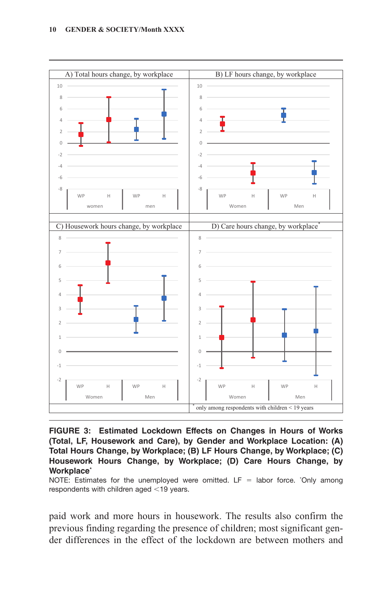

**Figure 3: Estimated Lockdown Effects on Changes in Hours of Works (Total, LF, Housework and Care), by Gender and Workplace Location: (A) Total Hours Change, by Workplace; (B) LF Hours Change, by Workplace; (C) Housework Hours Change, by Workplace; (D) Care Hours Change, by Workplace\***

NOTE: Estimates for the unemployed were omitted. LF = labor force. 'Only among respondents with children aged <19 years.

paid work and more hours in housework. The results also confirm the previous finding regarding the presence of children; most significant gender differences in the effect of the lockdown are between mothers and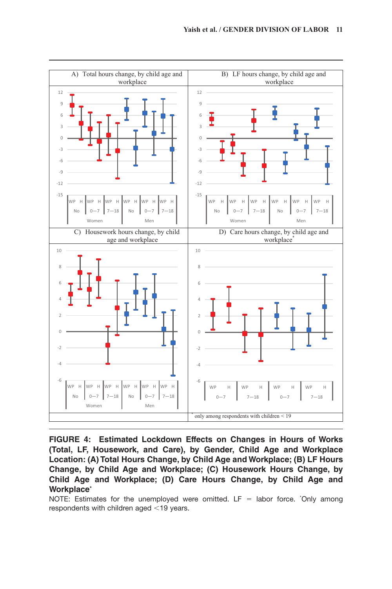

**Figure 4: Estimated Lockdown Effects on Changes in Hours of Works (Total, LF, Housework, and Care), by Gender, Child Age and Workplace Location: (A) Total Hours Change, by Child Age and Workplace; (B) LF Hours Change, by Child Age and Workplace; (C) Housework Hours Change, by Child Age and Workplace; (D) Care Hours Change, by Child Age and Workplace\***

NOTE: Estimates for the unemployed were omitted.  $LF =$  labor force. 'Only among respondents with children aged <19 years.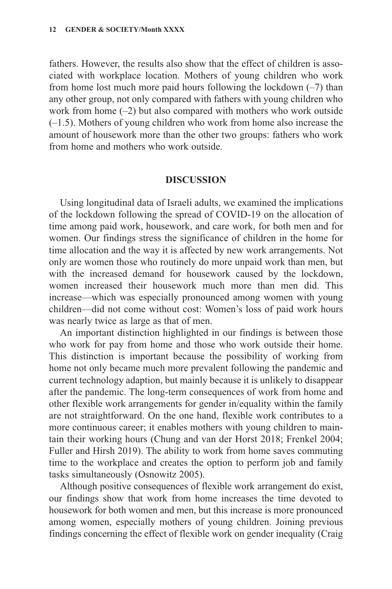fathers. However, the results also show that the effect of children is associated with workplace location. Mothers of young children who work from home lost much more paid hours following the lockdown  $(-7)$  than any other group, not only compared with fathers with young children who work from home (–2) but also compared with mothers who work outside (–1.5). Mothers of young children who work from home also increase the amount of housework more than the other two groups: fathers who work from home and mothers who work outside.

# **Discussion**

Using longitudinal data of Israeli adults, we examined the implications of the lockdown following the spread of COVID-19 on the allocation of time among paid work, housework, and care work, for both men and for women. Our findings stress the significance of children in the home for time allocation and the way it is affected by new work arrangements. Not only are women those who routinely do more unpaid work than men, but with the increased demand for housework caused by the lockdown, women increased their housework much more than men did. This increase—which was especially pronounced among women with young children—did not come without cost: Women's loss of paid work hours was nearly twice as large as that of men.

An important distinction highlighted in our findings is between those who work for pay from home and those who work outside their home. This distinction is important because the possibility of working from home not only became much more prevalent following the pandemic and current technology adaption, but mainly because it is unlikely to disappear after the pandemic. The long-term consequences of work from home and other flexible work arrangements for gender in/equality within the family are not straightforward. On the one hand, flexible work contributes to a more continuous career; it enables mothers with young children to maintain their working hours (Chung and van der Horst 2018; Frenkel 2004; Fuller and Hirsh 2019). The ability to work from home saves commuting time to the workplace and creates the option to perform job and family tasks simultaneously (Osnowitz 2005).

Although positive consequences of flexible work arrangement do exist, our findings show that work from home increases the time devoted to housework for both women and men, but this increase is more pronounced among women, especially mothers of young children. Joining previous findings concerning the effect of flexible work on gender inequality (Craig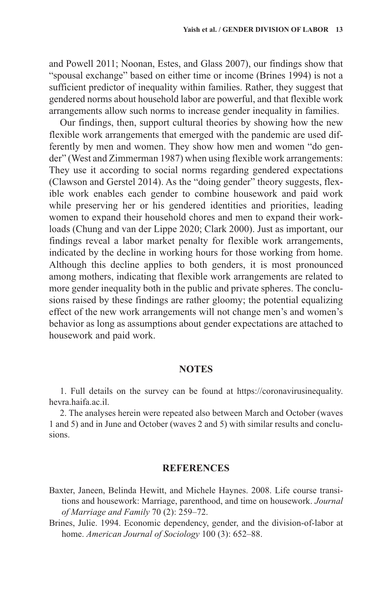and Powell 2011; Noonan, Estes, and Glass 2007), our findings show that "spousal exchange" based on either time or income (Brines 1994) is not a sufficient predictor of inequality within families. Rather, they suggest that gendered norms about household labor are powerful, and that flexible work arrangements allow such norms to increase gender inequality in families.

Our findings, then, support cultural theories by showing how the new flexible work arrangements that emerged with the pandemic are used differently by men and women. They show how men and women "do gender" (West and Zimmerman 1987) when using flexible work arrangements: They use it according to social norms regarding gendered expectations (Clawson and Gerstel 2014). As the "doing gender" theory suggests, flexible work enables each gender to combine housework and paid work while preserving her or his gendered identities and priorities, leading women to expand their household chores and men to expand their workloads (Chung and van der Lippe 2020; Clark 2000). Just as important, our findings reveal a labor market penalty for flexible work arrangements, indicated by the decline in working hours for those working from home. Although this decline applies to both genders, it is most pronounced among mothers, indicating that flexible work arrangements are related to more gender inequality both in the public and private spheres. The conclusions raised by these findings are rather gloomy; the potential equalizing effect of the new work arrangements will not change men's and women's behavior as long as assumptions about gender expectations are attached to housework and paid work.

#### **Notes**

1. Full details on the survey can be found at [https://coronavirusinequality.](https://coronavirusinequality.hevra.haifa.ac.il) [hevra.haifa.ac.il](https://coronavirusinequality.hevra.haifa.ac.il).

2. The analyses herein were repeated also between March and October (waves 1 and 5) and in June and October (waves 2 and 5) with similar results and conclusions.

#### **References**

- Baxter, Janeen, Belinda Hewitt, and Michele Haynes. 2008. Life course transitions and housework: Marriage, parenthood, and time on housework. *Journal of Marriage and Family* 70 (2): 259–72.
- Brines, Julie. 1994. Economic dependency, gender, and the division-of-labor at home. *American Journal of Sociology* 100 (3): 652–88.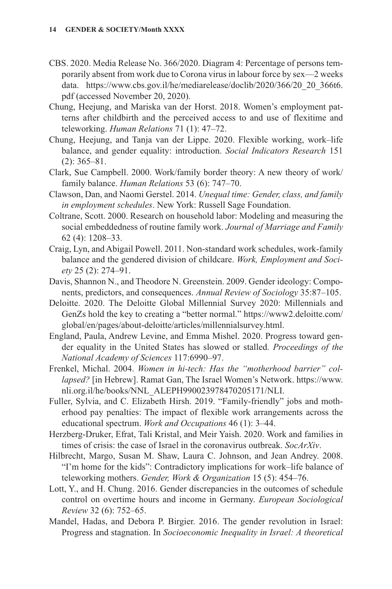- CBS. 2020. Media Release No. 366/2020. Diagram 4: Percentage of persons temporarily absent from work due to Corona virus in labour force by sex—2 weeks data. [https://www.cbs.gov.il/he/mediarelease/doclib/2020/366/20\\_20\\_366t6.](https://www.cbs.gov.il/he/mediarelease/doclib/2020/366/20_20_366t6.pdf) [pdf](https://www.cbs.gov.il/he/mediarelease/doclib/2020/366/20_20_366t6.pdf) (accessed November 20, 2020).
- Chung, Heejung, and Mariska van der Horst. 2018. Women's employment patterns after childbirth and the perceived access to and use of flexitime and teleworking. *Human Relations* 71 (1): 47–72.
- Chung, Heejung, and Tanja van der Lippe. 2020. Flexible working, work–life balance, and gender equality: introduction. *Social Indicators Research* 151 (2): 365–81.
- Clark, Sue Campbell. 2000. Work/family border theory: A new theory of work/ family balance. *Human Relations* 53 (6): 747–70.
- Clawson, Dan, and Naomi Gerstel. 2014. *Unequal time: Gender, class, and family in employment schedules*. New York: Russell Sage Foundation.
- Coltrane, Scott. 2000. Research on household labor: Modeling and measuring the social embeddedness of routine family work. *Journal of Marriage and Family* 62 (4): 1208–33.
- Craig, Lyn, and Abigail Powell. 2011. Non-standard work schedules, work-family balance and the gendered division of childcare. *Work, Employment and Society* 25 (2): 274–91.
- Davis, Shannon N., and Theodore N. Greenstein. 2009. Gender ideology: Components, predictors, and consequences. *Annual Review of Sociology* 35:87–105.
- Deloitte. 2020. The Deloitte Global Millennial Survey 2020: Millennials and GenZs hold the key to creating a "better normal." [https://www2.deloitte.com/](https://www2.deloitte.com/global/en/pages/about-deloitte/articles/millennialsurvey.html) [global/en/pages/about-deloitte/articles/millennialsurvey.html.](https://www2.deloitte.com/global/en/pages/about-deloitte/articles/millennialsurvey.html)
- England, Paula, Andrew Levine, and Emma Mishel. 2020. Progress toward gender equality in the United States has slowed or stalled. *Proceedings of the National Academy of Sciences* 117:6990–97.
- Frenkel, Michal. 2004. *Women in hi-tech: Has the "motherhood barrier" collapsed?* [in Hebrew]. Ramat Gan, The Israel Women's Network. [https://www.](https://www.nli.org.il/he/books/NNL_ALEPH990023978470205171/NLI) [nli.org.il/he/books/NNL\\_ALEPH990023978470205171/NLI](https://www.nli.org.il/he/books/NNL_ALEPH990023978470205171/NLI).
- Fuller, Sylvia, and C. Elizabeth Hirsh. 2019. "Family-friendly" jobs and motherhood pay penalties: The impact of flexible work arrangements across the educational spectrum. *Work and Occupations* 46 (1): 3–44.
- Herzberg-Druker, Efrat, Tali Kristal, and Meir Yaish. 2020. Work and families in times of crisis: the case of Israel in the coronavirus outbreak. *SocArXiv*.
- Hilbrecht, Margo, Susan M. Shaw, Laura C. Johnson, and Jean Andrey. 2008. "I'm home for the kids": Contradictory implications for work–life balance of teleworking mothers. *Gender, Work & Organization* 15 (5): 454–76.
- Lott, Y., and H. Chung. 2016. Gender discrepancies in the outcomes of schedule control on overtime hours and income in Germany. *European Sociological Review* 32 (6): 752–65.
- Mandel, Hadas, and Debora P. Birgier. 2016. The gender revolution in Israel: Progress and stagnation. In *Socioeconomic Inequality in Israel: A theoretical*